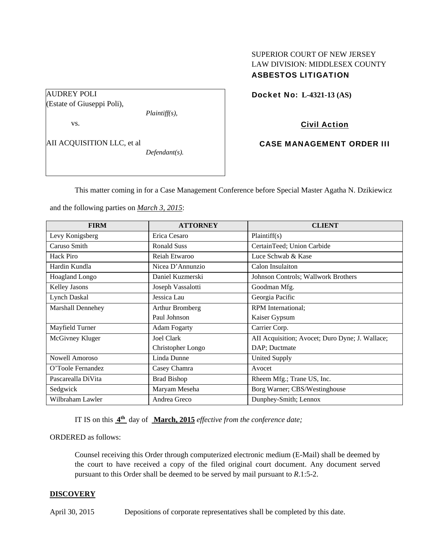# SUPERIOR COURT OF NEW JERSEY LAW DIVISION: MIDDLESEX COUNTY ASBESTOS LITIGATION

AUDREY POLI

vs.

(Estate of Giuseppi Poli),

AII ACQUISITION LLC, et al

*Defendant(s).* 

*Plaintiff(s),* 

Docket No: **L-4321-13 (AS)** 

Civil Action

CASE MANAGEMENT ORDER III

This matter coming in for a Case Management Conference before Special Master Agatha N. Dzikiewicz

and the following parties on *March 3, 2015*:

| <b>FIRM</b>        | <b>ATTORNEY</b>     | <b>CLIENT</b>                                   |
|--------------------|---------------------|-------------------------------------------------|
| Levy Konigsberg    | Erica Cesaro        | Plaintiff(s)                                    |
| Caruso Smith       | <b>Ronald Suss</b>  | CertainTeed; Union Carbide                      |
| Hack Piro          | Reiah Etwaroo       | Luce Schwab & Kase                              |
| Hardin Kundla      | Nicea D'Annunzio    | Calon Insulaiton                                |
| Hoagland Longo     | Daniel Kuzmerski    | Johnson Controls; Wallwork Brothers             |
| Kelley Jasons      | Joseph Vassalotti   | Goodman Mfg.                                    |
| Lynch Daskal       | Jessica Lau         | Georgia Pacific                                 |
| Marshall Dennehey  | Arthur Bromberg     | <b>RPM</b> International:                       |
|                    | Paul Johnson        | Kaiser Gypsum                                   |
| Mayfield Turner    | <b>Adam Fogarty</b> | Carrier Corp.                                   |
| McGivney Kluger    | Joel Clark          | AII Acquisition; Avocet; Duro Dyne; J. Wallace; |
|                    | Christopher Longo   | DAP; Ductmate                                   |
| Nowell Amoroso     | Linda Dunne         | <b>United Supply</b>                            |
| O'Toole Fernandez  | Casey Chamra        | Avocet                                          |
| Pascarealla DiVita | <b>Brad Bishop</b>  | Rheem Mfg.; Trane US, Inc.                      |
| Sedgwick           | Maryam Meseha       | Borg Warner; CBS/Westinghouse                   |
| Wilbraham Lawler   | Andrea Greco        | Dunphey-Smith; Lennox                           |

IT IS on this **4th** day of **March, 2015** *effective from the conference date;*

ORDERED as follows:

Counsel receiving this Order through computerized electronic medium (E-Mail) shall be deemed by the court to have received a copy of the filed original court document. Any document served pursuant to this Order shall be deemed to be served by mail pursuant to *R*.1:5-2.

# **DISCOVERY**

April 30, 2015 Depositions of corporate representatives shall be completed by this date.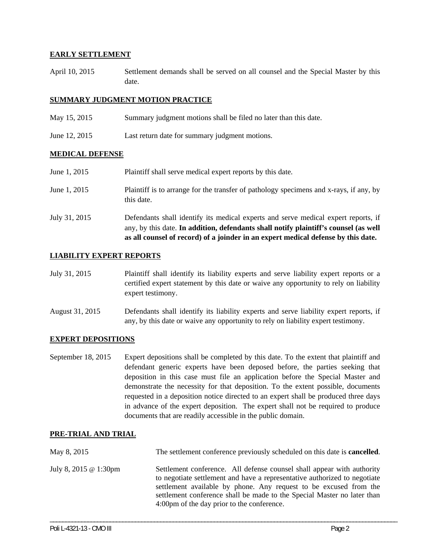## **EARLY SETTLEMENT**

April 10, 2015 Settlement demands shall be served on all counsel and the Special Master by this date.

## **SUMMARY JUDGMENT MOTION PRACTICE**

- May 15, 2015 Summary judgment motions shall be filed no later than this date.
- June 12, 2015 Last return date for summary judgment motions.

#### **MEDICAL DEFENSE**

| July 31, 2015 | Defendants shall identify its medical experts and serve medical expert reports, if<br>any, by this date. In addition, defendants shall notify plaintiff's counsel (as well<br>as all counsel of record) of a joinder in an expert medical defense by this date. |
|---------------|-----------------------------------------------------------------------------------------------------------------------------------------------------------------------------------------------------------------------------------------------------------------|
| June 1, 2015  | Plaintiff is to arrange for the transfer of pathology specimens and x-rays, if any, by<br>this date.                                                                                                                                                            |
| June 1, 2015  | Plaintiff shall serve medical expert reports by this date.                                                                                                                                                                                                      |

#### **LIABILITY EXPERT REPORTS**

- July 31, 2015 Plaintiff shall identify its liability experts and serve liability expert reports or a certified expert statement by this date or waive any opportunity to rely on liability expert testimony.
- August 31, 2015 Defendants shall identify its liability experts and serve liability expert reports, if any, by this date or waive any opportunity to rely on liability expert testimony.

#### **EXPERT DEPOSITIONS**

September 18, 2015 Expert depositions shall be completed by this date. To the extent that plaintiff and defendant generic experts have been deposed before, the parties seeking that deposition in this case must file an application before the Special Master and demonstrate the necessity for that deposition. To the extent possible, documents requested in a deposition notice directed to an expert shall be produced three days in advance of the expert deposition. The expert shall not be required to produce documents that are readily accessible in the public domain.

## **PRE-TRIAL AND TRIAL**

| May 8, 2015                  | The settlement conference previously scheduled on this date is <b>cancelled</b> .                                                                                                                                                                                                                                                                 |
|------------------------------|---------------------------------------------------------------------------------------------------------------------------------------------------------------------------------------------------------------------------------------------------------------------------------------------------------------------------------------------------|
| July 8, 2015 $\omega$ 1:30pm | Settlement conference. All defense counsel shall appear with authority<br>to negotiate settlement and have a representative authorized to negotiate<br>settlement available by phone. Any request to be excused from the<br>settlement conference shall be made to the Special Master no later than<br>4:00pm of the day prior to the conference. |

\_\_\_\_\_\_\_\_\_\_\_\_\_\_\_\_\_\_\_\_\_\_\_\_\_\_\_\_\_\_\_\_\_\_\_\_\_\_\_\_\_\_\_\_\_\_\_\_\_\_\_\_\_\_\_\_\_\_\_\_\_\_\_\_\_\_\_\_\_\_\_\_\_\_\_\_\_\_\_\_\_\_\_\_\_\_\_\_\_\_\_\_\_\_\_\_\_\_\_\_\_\_\_\_\_\_\_\_\_\_